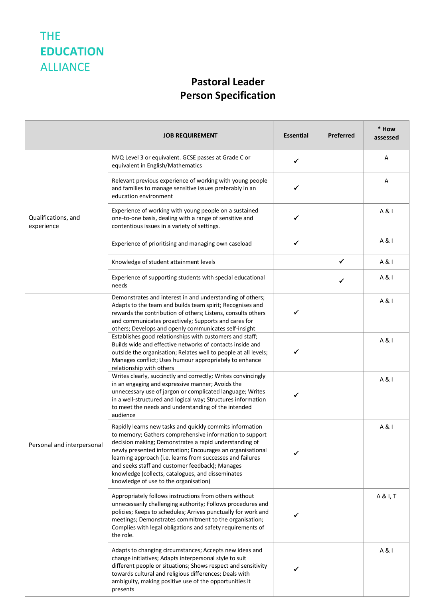## THE **EDUCATION**  ALLIANCE

## **Pastoral Leader Person Specification**

|                                   | <b>JOB REQUIREMENT</b>                                                                                                                                                                                                                                                                                                                                                                                                                                    | <b>Essential</b> | Preferred | * How<br>assessed |
|-----------------------------------|-----------------------------------------------------------------------------------------------------------------------------------------------------------------------------------------------------------------------------------------------------------------------------------------------------------------------------------------------------------------------------------------------------------------------------------------------------------|------------------|-----------|-------------------|
| Qualifications, and<br>experience | NVQ Level 3 or equivalent. GCSE passes at Grade C or<br>equivalent in English/Mathematics                                                                                                                                                                                                                                                                                                                                                                 | $\checkmark$     |           | Α                 |
|                                   | Relevant previous experience of working with young people<br>and families to manage sensitive issues preferably in an<br>education environment                                                                                                                                                                                                                                                                                                            | ✓                |           | Α                 |
|                                   | Experience of working with young people on a sustained<br>one-to-one basis, dealing with a range of sensitive and<br>contentious issues in a variety of settings.                                                                                                                                                                                                                                                                                         | ✓                |           | A & I             |
|                                   | Experience of prioritising and managing own caseload                                                                                                                                                                                                                                                                                                                                                                                                      | $\checkmark$     |           | A & I             |
|                                   | Knowledge of student attainment levels                                                                                                                                                                                                                                                                                                                                                                                                                    |                  | ✓         | A & I             |
|                                   | Experience of supporting students with special educational<br>needs                                                                                                                                                                                                                                                                                                                                                                                       |                  | ✓         | A & I             |
| Personal and interpersonal        | Demonstrates and interest in and understanding of others;<br>Adapts to the team and builds team spirit; Recognises and<br>rewards the contribution of others; Listens, consults others<br>and communicates proactively; Supports and cares for<br>others; Develops and openly communicates self-insight                                                                                                                                                   | ✓                |           | A & I             |
|                                   | Establishes good relationships with customers and staff;<br>Builds wide and effective networks of contacts inside and<br>outside the organisation; Relates well to people at all levels;<br>Manages conflict; Uses humour appropriately to enhance<br>relationship with others                                                                                                                                                                            | ✓                |           | A & I             |
|                                   | Writes clearly, succinctly and correctly; Writes convincingly<br>in an engaging and expressive manner; Avoids the<br>unnecessary use of jargon or complicated language; Writes<br>in a well-structured and logical way; Structures information<br>to meet the needs and understanding of the intended<br>audience                                                                                                                                         | ✓                |           | A & I             |
|                                   | Rapidly learns new tasks and quickly commits information<br>to memory; Gathers comprehensive information to support<br>decision making; Demonstrates a rapid understanding of<br>newly presented information; Encourages an organisational<br>learning approach (i.e. learns from successes and failures<br>and seeks staff and customer feedback); Manages<br>knowledge (collects, catalogues, and disseminates<br>knowledge of use to the organisation) | ✓                |           | A & I             |
|                                   | Appropriately follows instructions from others without<br>unnecessarily challenging authority; Follows procedures and<br>policies; Keeps to schedules; Arrives punctually for work and<br>meetings; Demonstrates commitment to the organisation;<br>Complies with legal obligations and safety requirements of<br>the role.                                                                                                                               | ✔                |           | A & I, T          |
|                                   | Adapts to changing circumstances; Accepts new ideas and<br>change initiatives; Adapts interpersonal style to suit<br>different people or situations; Shows respect and sensitivity<br>towards cultural and religious differences; Deals with<br>ambiguity, making positive use of the opportunities it<br>presents                                                                                                                                        | ✓                |           | A & I             |